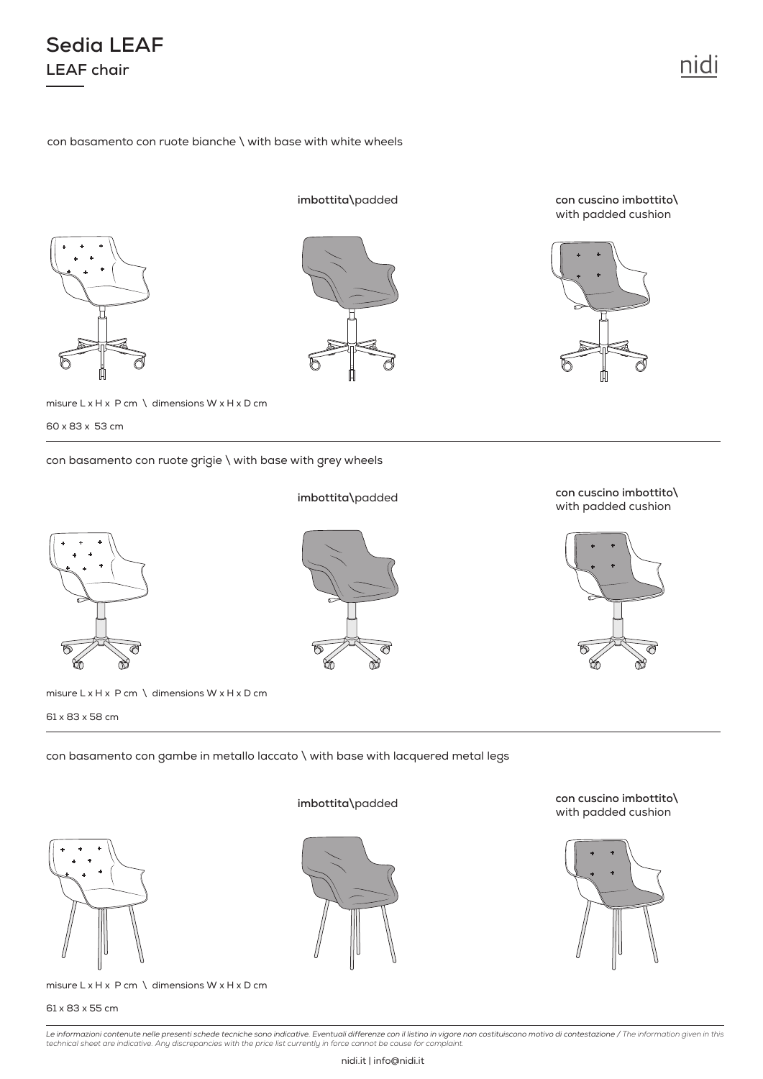61 x 83 x 55 cm

*Le informazioni contenute nelle presenti schede tecniche sono indicative. Eventuali differenze con il listino in vigore non costituiscono motivo di contestazione / The information given in this technical sheet are indicative. Any discrepancies with the price list currently in force cannot be cause for complaint.*

## con basamento con ruote bianche \ with base with white wheels

misure  $L \times H \times P$  cm \ dimensions  $W \times H \times D$  cm

con basamento con ruote grigie \ with base with grey wheels

## **imbottita\**padded

**con cuscino imbottito\**  with padded cushion



**con cuscino imbottito\**  with padded cushion

**imbottita\**padded

con basamento con gambe in metallo laccato \ with base with lacquered metal legs



61 x 83 x 58 cm





misure  $L \times H \times P$  cm  $\setminus$  dimensions W  $\times$  H  $\times$  D cm



**Sedia LEAF**

**LEAF chair**



**imbottita\**padded

**con cuscino imbottito\**  with padded cushion